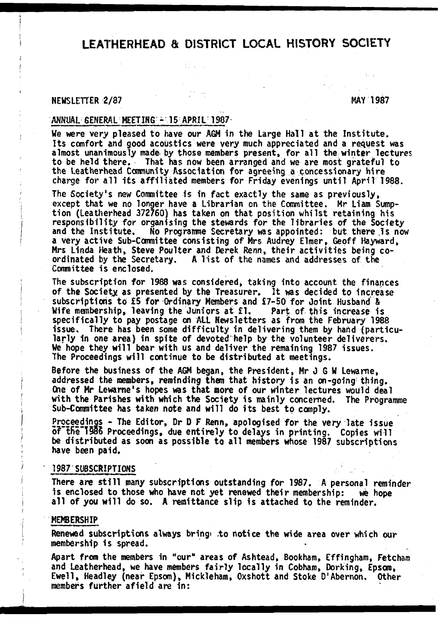# LEATHERHEAD & DISTRICT LOCAL HISTORY SOCIETY

### **NEWSLETTER 2/87** MAY 1987

### **ANNUAL GENERAL MEETING - 15 APRIL 1987**

We were very pleased to have our AGM in the Large Hall at the Institute. **Its comfort and good acoustics were very much appreciated and a request was almost unanimously made by those members present, for a ll the winter lectures to be held there. That has now been arranged and we are most grateful to the Leatherhead Community Association for agreeing a concessionary hire** charge for all its affiliated members for Friday evenings until April 1988.

**The Society's new Committee is in fact exactly the same as previously, except that we no longer have a Librarian on the Committee. Mr Liam Sump**tion (Leatherhead 372760) has taken on that position whilst retaining his responsibility for organising the stewards for the libraries of the Society **and the In stitu te. No Programme Secretary was appointed: but there Is now a very active Sub-Committee consisting of Mrs Audrey Elmer, Geoff Hayward,** Mrs Linda Heath, Steve Poulter and Derek Renn, their activities being coordinated by the Secretary. A list of the names and addresses of the **Committee is enclosed.**

**The subscription for 1988 was considered, taking into account the finances of the Society as presented by the Treasurer. It was decided to increase subscriptions to £5 for Ordinary Members and £7-50 for Joint Husband &** Wife membership, leaving the Juniors at fl. Part of this increase is **sp ecifica lly to pay postage on ALL Newsletters as from the February 1988** issue. There has been some difficulty in delivering them by hand (particularly in one area) in spite of devoted help by the volunteer deliverers. **We hope they w ill bear with us and deliver the remaining 1987 issues.** The Proceedings will continue to be distributed at meetings.

**Before the business of the AGM began, the President, Mr J G W Lewame,** addressed the members, reminding them that history is an on-going thing. **One of Mr Lewarne's hopes was that more of our winter lectures would deal** with the Parishes with which the Society is mainly concerned. The Programme Sub-Committee has taken note and will do its best to comply.

**Proceedings - The Editor, Dr D F Renn, apologised for the very late issue** of the 1986 Proceedings, due entirely to delays in printing. Copies will **be distributed as soon as possible to a ll members whose 1987 subscriptions have been paid.**

#### **1987 SUBSCRIPTIONS**

There are still many subscriptions outstanding for 1987. A personal reminder **1s enclosed to those who have not yet renewed their membership: we hope a ll of you w ill do so. A remittance slip is attached to the reminder.**

### **MEMBERSHIP**

**Renewed subscriptions always bring\* .to notice the wide area over which our membership is spread.**

**Apart from the members in \*\*our" areas of Ashtead, Bookham, Effingham, Fetcham and Leatherhead, we have members fa irly locally in Cobham, Dorking, Epson, Ewell, Headley (near Epsom), Mickleham, Oxshott and Stoke D'Abernon. Other members further a field are in:**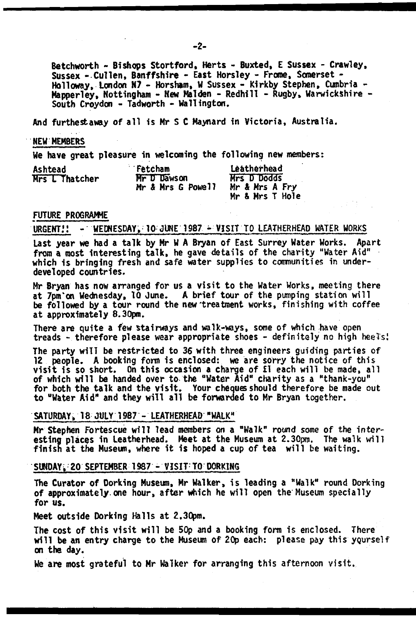**Betchworth - Bishops Stortford, Herts - Buxted, E Sussex - Crawley, Sussex - Cullen, Banffshire - East Horsley - Froroe, Somerset - Halloway, London K7 - Horsham, W Sussex - Kirkby Stephen, Cumbria - Mapperley, Nottingham - New Malden - Redhill - Rugby, Warwickshire - South Croydon - Tadworth - Wallington.**

**And furthestaway of a ll is Mr S C Maynard in Victoria, Australia.**

#### **NEW MEMBERS**

**We have great pleasure in welcoming the following new members:**

| Ashtead        | Fetcham                          | Leatherhead                                      |
|----------------|----------------------------------|--------------------------------------------------|
| Mrs L Thatcher | Mr D Dawson<br>Mr & Mrs G Powell | Mrs D Dodds<br>Mr & Mrs A Fry<br>Mr & Mrs T Hole |

#### **FUTURE PROGRAMME**

## **URGENT.1! - WEDNESDAY, 10 JUNE 1987 - VISIT TO LEATHERHEAD WATER WORKS**

Last year we had a talk by Mr W A Bryan of East Surrey Water Works. Apart from a most interesting talk, he gave details of the charity "Water Aid" **which is bringing fresh and safe water supplies to communities in underdeveloped countries.**

Mr Bryan has now arranged for us a visit to the Water Works, meeting there at 7pm'on Wednesday, 10 June. A brief tour of the pumping station will **be followed by a tour round the new'treatment works, finishing with coffee at approximately 8.30pm.**

There are quite a few stairways and walk-ways, some of which have open treads - therefore please wear appropriate shoes - definitely no high heels!

**The party w ill be restricted to 36 with three engineers guiding parties of 12** people. A booking form is enclosed: we are sorry the notice of this visit is so short. On this occasion a charge of *El each will be made*, all **of which w ill be handed over to the "Water Aid" charity as a "thank-you"** for both the talk and the visit. Your cheques should therefore be made out **to "Water Aid\* and they w ill a ll be forwarded to Mr Bryan together.**

### **SATURDAY, 1 8 JULY 1987 - LEATHERHEAD "WALK"**

Mr Stephen Fortescue will lead members on a "Walk" round some of the interesting places in Leatherhead. Meet at the Museum at 2.30pm. The walk will finish at the Museum, where it is hoped a cup of tea will be waiting.

### **SUNDAY, 20 SEPTEMBER 1987 - VISIT TO DORKING**

**The Curator of Dorking Museum, Mr Walker, i s leading a "Walk" round Dorking** of approximately one hour, after which he will open the Museum specially **for us.**

**Meet outside Dorking Halls at 2.30pm.**

The cost of this visit will be 50p and a booking form is enclosed. There will be an entry charge to the Museum of 20p each: please pay this yourself **on the day.**

We are most grateful to Mr Walker for arranging this afternoon visit.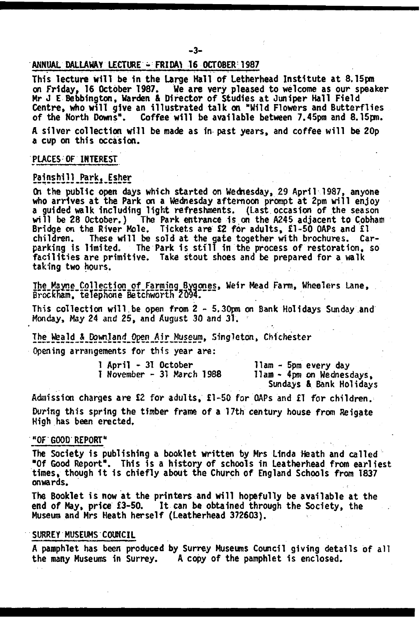### **ANNUAL DALLAWAY LECTURE - FRIDAY 16 OCTOBER 1987**

This lecture will be in the Large Hall of Letherhead Institute at 8.15pm **on Friday, 16 October 1987. We are very pleased to welcome as our speaker** Mr J E Bebbington, Warden & Director of Studies at Juniper Hall Field Centre, who will give an illustrated talk on "Wild Flowers and Butterflies<br>of the North Downs". Coffee will be available between 7.45pm and 8.15pm. Coffee will be available between 7.45pm and 8.15pm.

A silver collection will be made as in past years, and coffee will be 20p **a cup on th is occasion.**

### **PLACES OF INTEREST**

### Painshill Park, Esher

**On the public open days which started on Wednesday, 29 April 1987, anyone** who arrives at the Park on a Wednesday afternoon prompt at 2pm will enjoy a guided walk including light refreshments. (Last occasion of the season will be 28 October.) The Park entrance is on the A245 adjacent to Cobham **Bridge on the River Mole. Tickets are £2 for adults, £1-50 OAPs and £1** children. These will be sold at the gate together with brochures. Carparking is limited. The Park is still in the process of restoration, so **f a c ilit ie s are primitive. Take stout shoes and be prepared for a walk taking two hours.**

The Mayne Collection of Farming Bygones, Weir Mead Farm, Wheelers Lane, Brockham, telephone Betchworth 2094.

This collection will be open from 2 - 5.30pm on Bank Holidays Sunday and **Monday, May 24 and 25, and August 30 and 31.**

**The Weald & Dowtjand Open Air Museum, Singleton, Chichester Opening arrangements for th is year are:**

**1 April - 31 October 11am - 5pm every day**

**I November - 31 March 1988 Ham - 4pm on Wednesdays, Sundays & Bank Holidays**

**Admission charges are £2 for adults, £1-50 for OAPs and £1 for children.** During this spring the timber frame of a 17th century house from Reigate **High has been erected,**

#### **"OF GOOD REPORT"**

**The Society is publishing a booklet written by Mrs Linda Heath and called** "Of Good Report". This is a history of schools in Leatherhead from earliest times, though it is chiefly about the Church of England Schools from 1837 **onwards.**

The Booklet is now at the printers and will hopefully be available at the **end of May, price £3-50. It can be obtained through the Society, the** Museum and Mrs Heath herself (Leatherhead 372603).

### **SURREY MUSEUMS COUNCIL**

A pamphlet has been produced by Surrey Museums Council giving details of all<br>the many Museums in Surrey. A copy of the pamphlet is enclosed. A copy of the pamphlet is enclosed.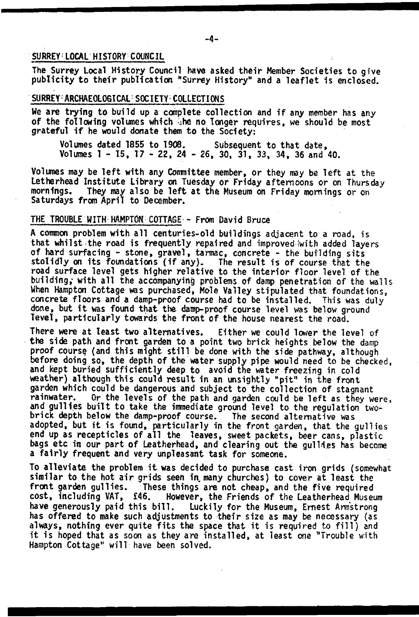### **SURREY LOCAL HISTORY C OUNCIL**

The Surrey Local History Council have asked their Member Societies to give publicity to their publication "Surrey History" and a leaflet is enclosed.

### SURREY-ARCHAEOLOGICAL: SOCIETY-COLLECTIONS

We are trying to build up a complete collection and if any member has any **of the following volumes which >he no longer requires, we should be most** grateful if he would donate them to the Society:

**Volumes dated 1855 to 1908. Subsequent to that date, Volumes 1 - 15, 17 - 22, 24 - 26, 30, 31, 33, 34, 36 and 40.**

Volumes may be left with any Committee member, or they may be left at the **Letherhead Institute Library on Tuesday or Friday afternoons or on Thursday**<br>mornings. They may also be left at the Museum on Friday mornings or on They may also be left at the Museum on Friday mornings or on **Saturdays from April to December.**

### **THE TROUBLE WITH HAMPTON COTTAGE - From David Bruce**

**A common problem with a ll centuries-old buildings adjacent to a road, is that whilst-the road is frequently repaired and improved iwith added layers** of hard surfacing - stone, gravel, tarmac, concrete - the building sits stolidly on its foundations (if any). The result is of course that the **road surface level gets higher relative to the interior floor level of the** building, with all the accompanying problems of damp penetration of the walls **When Hampton Cottage was purchased, Mole Valley stipulated that foundations,** concrete floors and a damp-proof course had to be installed. This was duly **done, but i t was found that the damp-proof course level was below ground** level, particularly towards the front of the house nearest the road.

There were at least two alternatives. Either we could lower the level of **the side path and front garden to a point two brick heights below the damp** proof course (and this might still be done with the side pathway, although **before doing so, the depth of the water supply pipe would need to be checked,** and kept buried sufficiently deep to avoid the water freezing in cold weather) although this could result in an unsightly "pit" in the front garden which could be dangerous and subject to the collection of stagnant<br>rainwater. Or the levels of the path and garden could be left as they we Or the levels of the path and garden could be left as they were, and gullies built to take the immediate ground level to the regulation two**brick depth below the damp-proof course. The second alternative was** adopted, but it is found, particularly in the front garden, that the qullies end up as recepticles of all the leaves, sweet packets, beer cans, plastic bags etc in our part of Leatherhead, and clearing out the gullies has become **a fa ir ly frequent and very unpleasant task for someone.**

To alleviate the problem it was decided to purchase cast iron grids (somewhat similar to the hot air grids seen in many churches) to cover at least the front garden gullies. These things are not cheap, and the five required cost, including VAT, £46. However, the Friends of the Leatherhead Museu **cost, including VAT, £46. However, the Friends of the Leatherhead Museum Luckily for the Museum, Ernest Armstrong has offered to make such adjustments to their size as may be necessary (as** always, nothing ever quite fits the space that it is required to fill) and **it is hoped that as soon as they are in sta lled , at least one ''Trouble with Hampton Cottage" w ill have been solved.**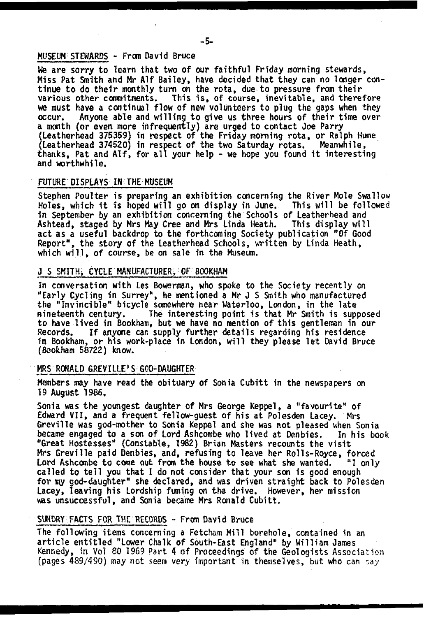### **MUSEUM STEWARDS ~ From David Bruce**

**We are sorry to learn that two of our faithful Friday morning stewards, Miss Pat Smith and Mr Alf Bailey, have decided that they can no longer con**tinue to do their monthly turn on the rota, due to pressure from their various other commitments. This is, of course, inevitable, and therefore **we must have a continual flow of new volunteers to plug the gaps when they** Anyone able and willing to give us three hours of their time over **a month (or even more infrequently) are urged to contact Joe Parry {Leatherhead 375359) in respect of the Friday morning rota, or Ralph Hume (Leatherhead 374520) in respect of the two Saturday rotas. Meanwhile,** thanks, Pat and AIf, for all your help - we hope you found it interesting **and worthwhile.**

#### **FUTURE DISPLAYS IN THE MUSEUM**

**Stephen Poulter is preparing an exhibition concerning the River Mole Swallow** Holes, which it is hoped will go on display in June. This will be followed **in September by an exhibition concerning the Schools of Leatherhead and** Ashtead, staged by Mrs May Cree and Mrs Linda Heath. **act as a useful backdrop to the forthcoming Society publication "Of Good Report", the story of the Leatherhead Schools, written by Linda Heath, which w ill, of course, be on sale in the Museum.**

### **J S SMITHS CYCLE MANUFACTURER, OF BOOKHAM**

**In conversation with Les Bowerman, who spoke to the Society recently on "Early Cycling in Surrey", he mentioned a Mr J S Smith who manufactured the "Invincible" bicycle somewhere near Waterloo, London, in the late** The interesting point is that Mr Smith is supposed to have lived in Bookham, but we have no mention of this gentleman in our **Records. If anyone can supply further details regarding his residence** in Bookham, or his work-place in London, will they please let David Bruce **(Bookham 58722) know.**

#### **MRS RONALD GREVILLE\* S;GOD-DAUGHTER**

**Members may have read the obituary of Sonia Cubitt in the newspapers on 19 August 1986,**

**Sonia was the youngest daughter of Mrs George Keppel, a "favourite" of Edward VII, and a frequent fellow-guest of his at Polesden Lacey. Mrs Greville was god-mother to Sonia Keppel and she was not pleased when Sonia** became engaged to a son of Lord Ashcombe who lived at Denbies. "Great Hostesses" (Constable, 1982) Brian Masters recounts the visit **Mrs Greville paid Denbies, and, refusing to leave her Rolls-Royce, forced** Lord Ashcombe to come out from the house to see what she wanted. called to tell you that I do not consider that your son is good enough **for tny god-daughter" she declared, and was driven straight back to Polesden Lacey, leaving his Lordship fuming on the drive. However, her mission was unsuccessful, and Sonia became Mrs Ronald Cubitt.**

### **SUNDRY FACTS FOR THE RECORDS - From David Bruce**

**The following items concerning a Fetcham Mill borehole, contained in an a rticle en titled "Lower Chalk of South-East England" by William James Kennedy, in Vol 80 1969 Part. 4 of Proceedings of the Geologists Association (pages 489/490) may not seem very important in themselves, but who can** say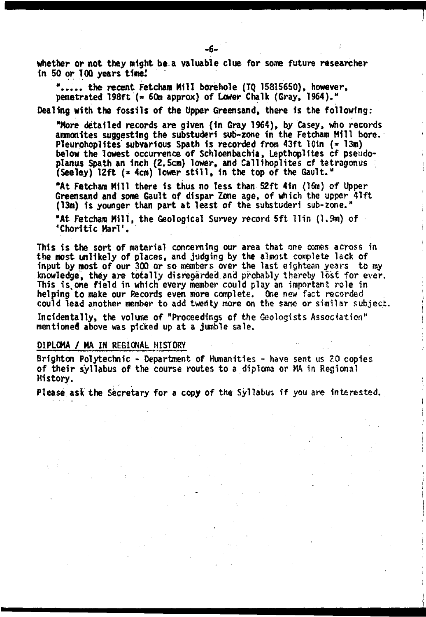**whether or not they night be.a valuable clue for some future researcher in 50 or TOO years time!**

**"........the recent Fetcham Mill borehole (TQ 15815650), however, penetrated 198ft (® 60m approx) of Lower Chalk (Gray, 1964)."**

Dealing with the fossils of the Upper Greensand, there is the following:

**"More detailed records are given (in Gray 1964), by Casey, who records** ammonites suggesting the substuderi sub-zone in the Fetcham Mill bore. **Pleurohoplites subvarious Spath is recorded from 43ft lOin (\* 13m) below the lowest occurrence of Schloenbachia, LepthopHtes cf pseudo**planus Spath an inch (2.5cm) lower, and Callihoplites of tetragonus **(Seeley) 12ft (\* 4cm) lower s t i l l , in the top of the Gault."**

"At Fetcham Mill there is thus no less than 52ft 4in (16m) of Upper **Greensand and some Gault of dispar Zone age, of which the upper 41ft** (13m) is younger than part at least of the substuderi sub-zone."

**"At Fetcham M ill, the Geological Survey record 5 ft llin (1.9m) of 'Choritic Mari'.**

**This is the sort of material concerning our area that one comes across in the most unlikely of places, and judging by the almost complete lack of** input by most of our 300 or so members over the last eighteen years to my knowledge, they are totally disregarded and probably thereby lost for ever. This is one field in which every member could play an important role in **helping to make our Records even more complete. One new fact recorded could lead another member to add twertty more on the sane or similar subject.**

Incidentally, the volume of "Proceedings of the Geologists Association" **mentioned above was picked up at a jumble sale.**

#### **DIPLOMA / MA IN REGIONAL HISTORY**

**Brighton Polytechnic - Department of Humanities - have sent us 20 copies of th eir syllabus of the course routes to a diploma or MA in Regional History.**

Please ask the Secretary for a copy of the Syllabus if you are interested.